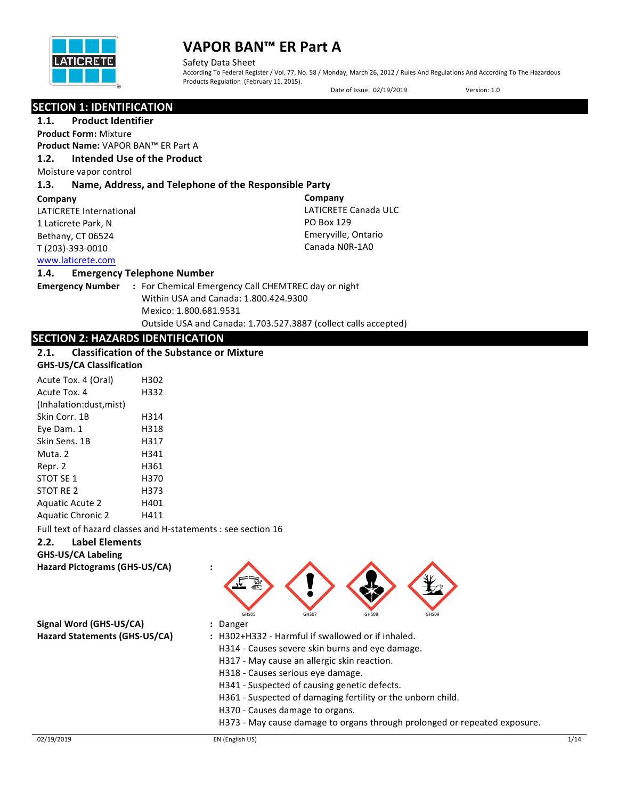

Safety Data Sheet **Sheet** Sheet Sheet Sheet Sheet Sheet Sheet Sheet Sheet Sheet Sheet Sheet Sheet Sheet Sheet Sheet Sheet Sheet Sheet Sheet Sheet Sheet Sheet Sheet Sheet Sheet Sheet Sheet Sheet Sheet Sheet Sheet Sheet Shee According To Federal Register / Vol. 77, No. 58 / Monday, March 26, 2012 / Rules And Regulations And According To The Hazardous Products Regulation (February 11, 2015).

Date of Issue: 02/19/2019 Version: 1.0

### **SECTION 1: IDENTIFICATION**

**1.1.** Product Identifier **Product Form:** Mixture

**Product Name:** VAPOR BAN™ ER Part A

## **1.2. Intended Use of the Product**

Moisture vapor control

## **1.3. Name, Address, and Telephone of the Responsible Party**

#### **Company**

LATICRETE International 1 Laticrete Park, N Bethany, CT 06524 T (203)-393-0010

**Company** LATICRETE Canada ULC PO Box 129 Emeryville, Ontario Canada N0R-1A0

## www.laticrete.com

#### **1.4. Emergency Telephone Number**

**Emergency Number : For Chemical Emergency Call CHEMTREC day or night** Within USA and Canada: 1.800.424.9300 Mexico: 1.800.681.9531 Outside USA and Canada: 1.703.527.3887 (collect calls accepted)

## **SECTION 2: HAZARDS IDENTIFICATION**

## **2.1.** Classification of the Substance or Mixture

#### **GHS-US/CA Classification**

| Acute Tox. 4 (Oral)      | H302 |
|--------------------------|------|
| Acute Tox. 4             | H332 |
| (Inhalation:dust, mist)  |      |
| Skin Corr. 1B            | H314 |
| Eye Dam. 1               | H318 |
| Skin Sens. 1B            | H317 |
| Muta. 2                  | H341 |
| Repr. 2                  | H361 |
| STOT SE 1                | H370 |
| STOT RE 2                | H373 |
| <b>Aquatic Acute 2</b>   | H401 |
| <b>Aquatic Chronic 2</b> | H411 |

Full text of hazard classes and H-statements : see section 16

### **2.2. Label Elements**

**GHS-US/CA Labeling Hazard Pictograms (GHS-US/CA) :**

GHS05 GHS07 GHS08 GHS09

**Signal Word (GHS-US/CA) :** Danger

- 
- **Hazard Statements (GHS-US/CA) :** H302+H332 Harmful if swallowed or if inhaled.
	- H314 Causes severe skin burns and eye damage.
	- H317 May cause an allergic skin reaction.
	- H318 Causes serious eye damage.
	- H341 Suspected of causing genetic defects.
	- H361 Suspected of damaging fertility or the unborn child.
	- H370 Causes damage to organs.
	- H373 May cause damage to organs through prolonged or repeated exposure.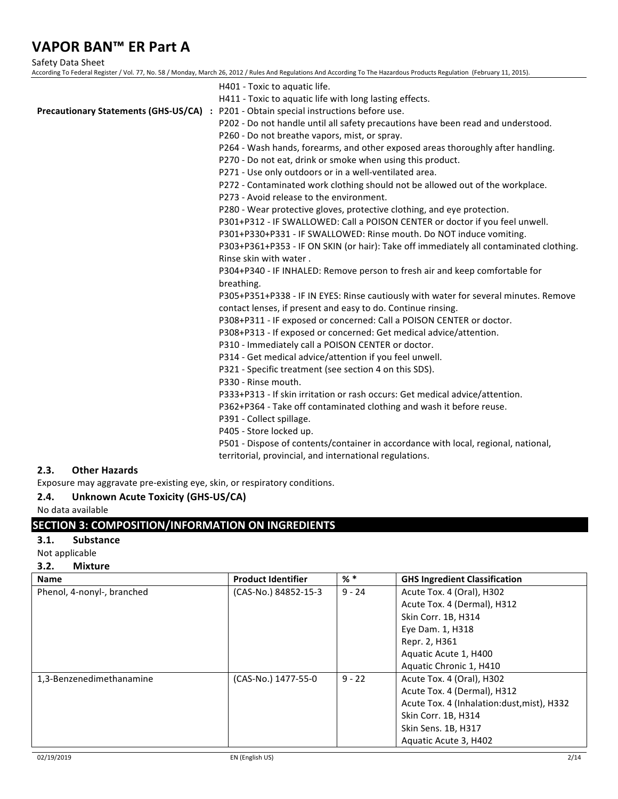Safety Data Sheet

| According To Federal Register / Vol. 77, No. 58 / Monday, March 26, 2012 / Rules And Regulations And According To The Hazardous Products Regulation (February 11, 2015). |
|--------------------------------------------------------------------------------------------------------------------------------------------------------------------------|
| H401 - Toxic to aquatic life.                                                                                                                                            |
| H411 - Toxic to aquatic life with long lasting effects.                                                                                                                  |
| Precautionary Statements (GHS-US/CA) : P201 - Obtain special instructions before use.                                                                                    |
| P202 - Do not handle until all safety precautions have been read and understood.                                                                                         |
| P260 - Do not breathe vapors, mist, or spray.                                                                                                                            |
| P264 - Wash hands, forearms, and other exposed areas thoroughly after handling.                                                                                          |
| P270 - Do not eat, drink or smoke when using this product.                                                                                                               |
| P271 - Use only outdoors or in a well-ventilated area.                                                                                                                   |
| P272 - Contaminated work clothing should not be allowed out of the workplace.                                                                                            |
| P273 - Avoid release to the environment.                                                                                                                                 |
| P280 - Wear protective gloves, protective clothing, and eye protection.                                                                                                  |
| P301+P312 - IF SWALLOWED: Call a POISON CENTER or doctor if you feel unwell.                                                                                             |
| P301+P330+P331 - IF SWALLOWED: Rinse mouth. Do NOT induce vomiting.                                                                                                      |
| P303+P361+P353 - IF ON SKIN (or hair): Take off immediately all contaminated clothing.                                                                                   |
| Rinse skin with water.                                                                                                                                                   |
| P304+P340 - IF INHALED: Remove person to fresh air and keep comfortable for                                                                                              |
| breathing.                                                                                                                                                               |
| P305+P351+P338 - IF IN EYES: Rinse cautiously with water for several minutes. Remove                                                                                     |
| contact lenses, if present and easy to do. Continue rinsing.                                                                                                             |
| P308+P311 - IF exposed or concerned: Call a POISON CENTER or doctor.                                                                                                     |
| P308+P313 - If exposed or concerned: Get medical advice/attention.                                                                                                       |
| P310 - Immediately call a POISON CENTER or doctor.                                                                                                                       |
| P314 - Get medical advice/attention if you feel unwell.                                                                                                                  |
| P321 - Specific treatment (see section 4 on this SDS).                                                                                                                   |
| P330 - Rinse mouth.                                                                                                                                                      |
| P333+P313 - If skin irritation or rash occurs: Get medical advice/attention.                                                                                             |
| P362+P364 - Take off contaminated clothing and wash it before reuse.                                                                                                     |
| P391 - Collect spillage.                                                                                                                                                 |
| P405 - Store locked up.                                                                                                                                                  |
| P501 - Dispose of contents/container in accordance with local, regional, national,                                                                                       |

territorial, provincial, and international regulations.

## **2.3. Other Hazards**

Exposure may aggravate pre-existing eye, skin, or respiratory conditions.

### 2.4. Unknown Acute Toxicity (GHS-US/CA)

No data available

## **SECTION 3: COMPOSITION/INFORMATION ON INGREDIENTS**

### **3.1. Substance**

Not applicable

#### **3.2. Mixture**

| <b>Name</b>                | <b>Product Identifier</b> | % *      | <b>GHS Ingredient Classification</b>       |
|----------------------------|---------------------------|----------|--------------------------------------------|
| Phenol, 4-nonyl-, branched | (CAS-No.) 84852-15-3      | $9 - 24$ | Acute Tox. 4 (Oral), H302                  |
|                            |                           |          | Acute Tox. 4 (Dermal), H312                |
|                            |                           |          | Skin Corr. 1B, H314                        |
|                            |                           |          | Eye Dam. 1, H318                           |
|                            |                           |          | Repr. 2, H361                              |
|                            |                           |          | Aquatic Acute 1, H400                      |
|                            |                           |          | Aquatic Chronic 1, H410                    |
| 1,3-Benzenedimethanamine   | (CAS-No.) 1477-55-0       | $9 - 22$ | Acute Tox. 4 (Oral), H302                  |
|                            |                           |          | Acute Tox. 4 (Dermal), H312                |
|                            |                           |          | Acute Tox. 4 (Inhalation:dust, mist), H332 |
|                            |                           |          | Skin Corr. 1B, H314                        |
|                            |                           |          | Skin Sens. 1B, H317                        |
|                            |                           |          | Aquatic Acute 3, H402                      |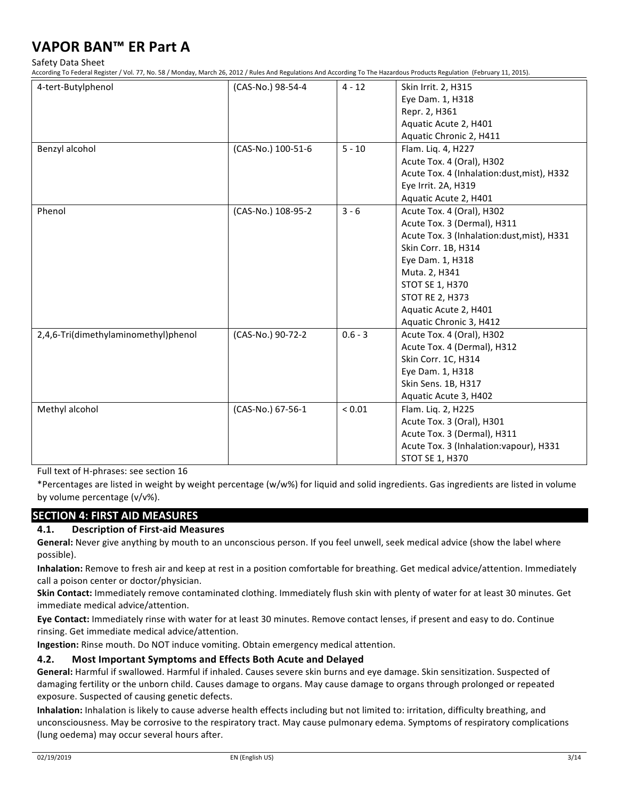Safety Data Sheet

According To Federal Register / Vol. 77, No. 58 / Monday, March 26, 2012 / Rules And Regulations And According To The Hazardous Products Regulation (February 11, 2015).

| 4-tert-Butylphenol                   | (CAS-No.) 98-54-4  | $4 - 12$   | Skin Irrit. 2, H315                        |
|--------------------------------------|--------------------|------------|--------------------------------------------|
|                                      |                    |            | Eye Dam. 1, H318                           |
|                                      |                    |            | Repr. 2, H361                              |
|                                      |                    |            | Aquatic Acute 2, H401                      |
|                                      |                    |            | Aquatic Chronic 2, H411                    |
| Benzyl alcohol                       | (CAS-No.) 100-51-6 | $5 - 10$   | Flam. Liq. 4, H227                         |
|                                      |                    |            | Acute Tox. 4 (Oral), H302                  |
|                                      |                    |            | Acute Tox. 4 (Inhalation:dust, mist), H332 |
|                                      |                    |            | Eye Irrit. 2A, H319                        |
|                                      |                    |            | Aquatic Acute 2, H401                      |
| Phenol                               | (CAS-No.) 108-95-2 | $3 - 6$    | Acute Tox. 4 (Oral), H302                  |
|                                      |                    |            | Acute Tox. 3 (Dermal), H311                |
|                                      |                    |            | Acute Tox. 3 (Inhalation:dust, mist), H331 |
|                                      |                    |            | Skin Corr. 1B, H314                        |
|                                      |                    |            | Eye Dam. 1, H318                           |
|                                      |                    |            | Muta. 2, H341                              |
|                                      |                    |            | <b>STOT SE 1, H370</b>                     |
|                                      |                    |            | <b>STOT RE 2, H373</b>                     |
|                                      |                    |            | Aquatic Acute 2, H401                      |
|                                      |                    |            | Aquatic Chronic 3, H412                    |
| 2,4,6-Tri(dimethylaminomethyl)phenol | (CAS-No.) 90-72-2  | $0.6 - 3$  | Acute Tox. 4 (Oral), H302                  |
|                                      |                    |            | Acute Tox. 4 (Dermal), H312                |
|                                      |                    |            | Skin Corr. 1C, H314                        |
|                                      |                    |            | Eye Dam. 1, H318                           |
|                                      |                    |            | Skin Sens. 1B, H317                        |
|                                      |                    |            | Aquatic Acute 3, H402                      |
| Methyl alcohol                       | (CAS-No.) 67-56-1  | ${}< 0.01$ | Flam. Liq. 2, H225                         |
|                                      |                    |            | Acute Tox. 3 (Oral), H301                  |
|                                      |                    |            | Acute Tox. 3 (Dermal), H311                |
|                                      |                    |            | Acute Tox. 3 (Inhalation: vapour), H331    |
|                                      |                    |            | <b>STOT SE 1, H370</b>                     |

Full text of H-phrases: see section 16

\*Percentages are listed in weight by weight percentage (w/w%) for liquid and solid ingredients. Gas ingredients are listed in volume by volume percentage  $(v/v\%)$ .

### **SECTION 4: FIRST AID MEASURES**

#### **4.1. Description of First-aid Measures**

General: Never give anything by mouth to an unconscious person. If you feel unwell, seek medical advice (show the label where possible).

**Inhalation:** Remove to fresh air and keep at rest in a position comfortable for breathing. Get medical advice/attention. Immediately call a poison center or doctor/physician.

Skin Contact: Immediately remove contaminated clothing. Immediately flush skin with plenty of water for at least 30 minutes. Get immediate medical advice/attention.

Eye Contact: Immediately rinse with water for at least 30 minutes. Remove contact lenses, if present and easy to do. Continue rinsing. Get immediate medical advice/attention.

**Ingestion:** Rinse mouth. Do NOT induce vomiting. Obtain emergency medical attention.

#### **4.2.** Most Important Symptoms and Effects Both Acute and Delayed

General: Harmful if swallowed. Harmful if inhaled. Causes severe skin burns and eye damage. Skin sensitization. Suspected of damaging fertility or the unborn child. Causes damage to organs. May cause damage to organs through prolonged or repeated exposure. Suspected of causing genetic defects.

Inhalation: Inhalation is likely to cause adverse health effects including but not limited to: irritation, difficulty breathing, and unconsciousness. May be corrosive to the respiratory tract. May cause pulmonary edema. Symptoms of respiratory complications (lung oedema) may occur several hours after.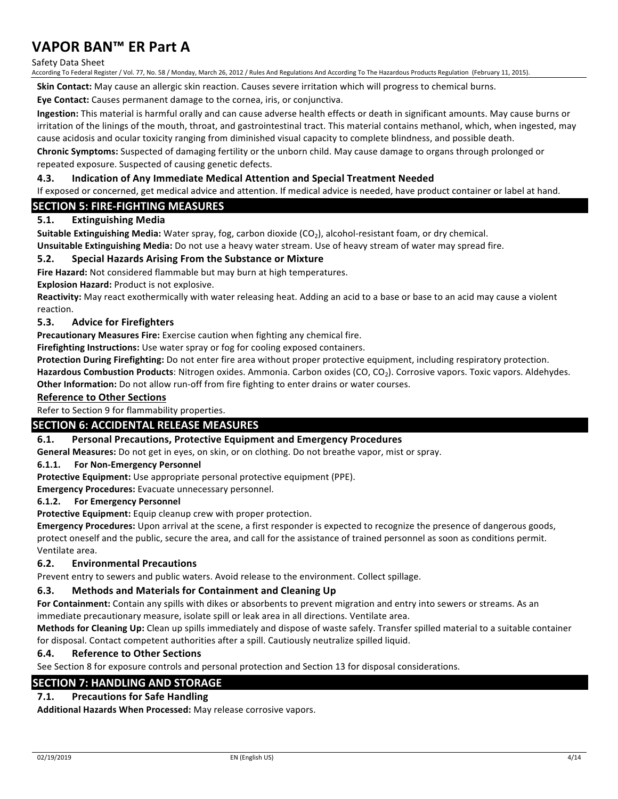#### Safety Data Sheet

According To Federal Register / Vol. 77, No. 58 / Monday, March 26, 2012 / Rules And Regulations And According To The Hazardous Products Regulation (February 11, 2015).

**Skin Contact:** May cause an allergic skin reaction. Causes severe irritation which will progress to chemical burns.

Eye Contact: Causes permanent damage to the cornea, iris, or conjunctiva.

**Ingestion:** This material is harmful orally and can cause adverse health effects or death in significant amounts. May cause burns or irritation of the linings of the mouth, throat, and gastrointestinal tract. This material contains methanol, which, when ingested, may cause acidosis and ocular toxicity ranging from diminished visual capacity to complete blindness, and possible death.

**Chronic Symptoms:** Suspected of damaging fertility or the unborn child. May cause damage to organs through prolonged or repeated exposure. Suspected of causing genetic defects.

#### **4.3. Indication of Any Immediate Medical Attention and Special Treatment Needed**

If exposed or concerned, get medical advice and attention. If medical advice is needed, have product container or label at hand.

### **SECTION 5: FIRE-FIGHTING MEASURES**

#### **5.1. Extinguishing Media**

**Suitable Extinguishing Media:** Water spray, fog, carbon dioxide (CO<sub>2</sub>), alcohol-resistant foam, or dry chemical. **Unsuitable Extinguishing Media:** Do not use a heavy water stream. Use of heavy stream of water may spread fire.

#### **5.2.** Special Hazards Arising From the Substance or Mixture

**Fire Hazard:** Not considered flammable but may burn at high temperatures.

**Explosion Hazard:** Product is not explosive.

**Reactivity:** May react exothermically with water releasing heat. Adding an acid to a base or base to an acid may cause a violent reaction. 

#### **5.3. Advice for Firefighters**

**Precautionary Measures Fire:** Exercise caution when fighting any chemical fire.

**Firefighting Instructions:** Use water spray or fog for cooling exposed containers.

Protection During Firefighting: Do not enter fire area without proper protective equipment, including respiratory protection.

Hazardous Combustion Products: Nitrogen oxides. Ammonia. Carbon oxides (CO, CO<sub>2</sub>). Corrosive vapors. Toxic vapors. Aldehydes. **Other Information:** Do not allow run-off from fire fighting to enter drains or water courses.

#### **Reference to Other Sections**

Refer to Section 9 for flammability properties.

#### **SECTION 6: ACCIDENTAL RELEASE MEASURES**

#### **6.1. Personal Precautions, Protective Equipment and Emergency Procedures**

**General Measures:** Do not get in eyes, on skin, or on clothing. Do not breathe vapor, mist or spray.

**6.1.1.** For Non-Emergency Personnel

**Protective Equipment:** Use appropriate personal protective equipment (PPE).

**Emergency Procedures:** Evacuate unnecessary personnel.

#### **6.1.2.** For Emergency Personnel

**Protective Equipment:** Equip cleanup crew with proper protection.

Emergency Procedures: Upon arrival at the scene, a first responder is expected to recognize the presence of dangerous goods, protect oneself and the public, secure the area, and call for the assistance of trained personnel as soon as conditions permit. Ventilate area.

#### **6.2. Environmental Precautions**

Prevent entry to sewers and public waters. Avoid release to the environment. Collect spillage.

#### **6.3.** Methods and Materials for Containment and Cleaning Up

For Containment: Contain any spills with dikes or absorbents to prevent migration and entry into sewers or streams. As an immediate precautionary measure, isolate spill or leak area in all directions. Ventilate area.

**Methods for Cleaning Up:** Clean up spills immediately and dispose of waste safely. Transfer spilled material to a suitable container for disposal. Contact competent authorities after a spill. Cautiously neutralize spilled liquid.

#### **6.4. Reference to Other Sections**

See Section 8 for exposure controls and personal protection and Section 13 for disposal considerations.

#### **SECTION 7: HANDLING AND STORAGE**

### **7.1.** Precautions for Safe Handling

Additional Hazards When Processed: May release corrosive vapors.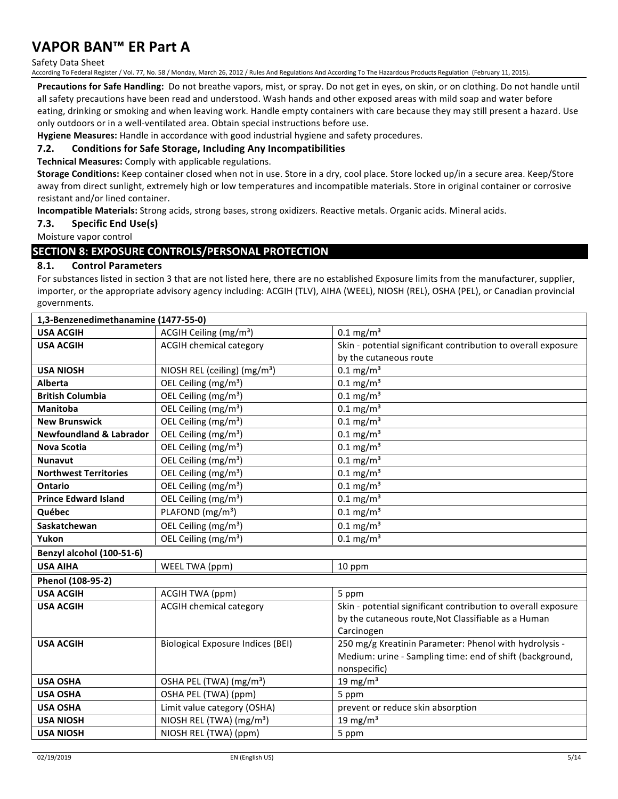#### Safety Data Sheet

According To Federal Register / Vol. 77, No. 58 / Monday, March 26, 2012 / Rules And Regulations And According To The Hazardous Products Regulation (February 11, 2015).

**Precautions for Safe Handling:** Do not breathe vapors, mist, or spray. Do not get in eyes, on skin, or on clothing. Do not handle until all safety precautions have been read and understood. Wash hands and other exposed areas with mild soap and water before eating, drinking or smoking and when leaving work. Handle empty containers with care because they may still present a hazard. Use only outdoors or in a well-ventilated area. Obtain special instructions before use.

Hygiene Measures: Handle in accordance with good industrial hygiene and safety procedures.

#### **7.2.** Conditions for Safe Storage, Including Any Incompatibilities

**Technical Measures:** Comply with applicable regulations.

Storage Conditions: Keep container closed when not in use. Store in a dry, cool place. Store locked up/in a secure area. Keep/Store away from direct sunlight, extremely high or low temperatures and incompatible materials. Store in original container or corrosive resistant and/or lined container.

**Incompatible Materials:** Strong acids, strong bases, strong oxidizers. Reactive metals. Organic acids. Mineral acids.

#### **7.3. Specific End Use(s)**

Moisture vapor control

## **SECTION 8: EXPOSURE CONTROLS/PERSONAL PROTECTION**

#### **8.1. Control Parameters**

For substances listed in section 3 that are not listed here, there are no established Exposure limits from the manufacturer, supplier, importer, or the appropriate advisory agency including: ACGIH (TLV), AIHA (WEEL), NIOSH (REL), OSHA (PEL), or Canadian provincial governments.

| 1,3-Benzenedimethanamine (1477-55-0) |                                          |                                                               |
|--------------------------------------|------------------------------------------|---------------------------------------------------------------|
| <b>USA ACGIH</b>                     | ACGIH Ceiling (mg/m <sup>3</sup> )       | $0.1 \,\mathrm{mg/m^3}$                                       |
| <b>USA ACGIH</b>                     | <b>ACGIH chemical category</b>           | Skin - potential significant contribution to overall exposure |
|                                      |                                          | by the cutaneous route                                        |
| <b>USA NIOSH</b>                     | NIOSH REL (ceiling) (mg/m <sup>3</sup> ) | $0.1 \,\mathrm{mg/m^3}$                                       |
| Alberta                              | OEL Ceiling (mg/m <sup>3</sup> )         | $0.1 \,\mathrm{mg/m^3}$                                       |
| <b>British Columbia</b>              | OEL Ceiling (mg/m <sup>3</sup> )         | $0.1 \,\mathrm{mg/m^3}$                                       |
| <b>Manitoba</b>                      | OEL Ceiling (mg/m <sup>3</sup> )         | $0.1 \text{ mg/m}^3$                                          |
| <b>New Brunswick</b>                 | OEL Ceiling (mg/m <sup>3</sup> )         | $0.1 \text{ mg/m}^3$                                          |
| <b>Newfoundland &amp; Labrador</b>   | OEL Ceiling (mg/m <sup>3</sup> )         | $0.1 \text{ mg/m}^3$                                          |
| Nova Scotia                          | OEL Ceiling (mg/m <sup>3</sup> )         | $0.1 \text{ mg/m}^3$                                          |
| <b>Nunavut</b>                       | OEL Ceiling (mg/m <sup>3</sup> )         | $0.1$ mg/m <sup>3</sup>                                       |
| <b>Northwest Territories</b>         | OEL Ceiling (mg/m <sup>3</sup> )         | $0.1 \text{ mg/m}^3$                                          |
| <b>Ontario</b>                       | OEL Ceiling (mg/m <sup>3</sup> )         | $0.1 \text{ mg/m}^3$                                          |
| <b>Prince Edward Island</b>          | OEL Ceiling (mg/m <sup>3</sup> )         | $0.1 \,\mathrm{mg/m^3}$                                       |
| Québec                               | PLAFOND (mg/m <sup>3</sup> )             | $0.1 \text{ mg/m}^3$                                          |
| Saskatchewan                         | OEL Ceiling (mg/m <sup>3</sup> )         | $0.1 \text{ mg/m}^3$                                          |
| Yukon                                | OEL Ceiling (mg/m <sup>3</sup> )         | $0.1 \,\mathrm{mg/m^3}$                                       |
| Benzyl alcohol (100-51-6)            |                                          |                                                               |
| <b>USA AIHA</b>                      | WEEL TWA (ppm)                           | 10 ppm                                                        |
| Phenol (108-95-2)                    |                                          |                                                               |
| <b>USA ACGIH</b>                     | <b>ACGIH TWA (ppm)</b>                   | 5 ppm                                                         |
| <b>USA ACGIH</b>                     | <b>ACGIH chemical category</b>           | Skin - potential significant contribution to overall exposure |
|                                      |                                          | by the cutaneous route, Not Classifiable as a Human           |
|                                      |                                          | Carcinogen                                                    |
| <b>USA ACGIH</b>                     | <b>Biological Exposure Indices (BEI)</b> | 250 mg/g Kreatinin Parameter: Phenol with hydrolysis -        |
|                                      |                                          | Medium: urine - Sampling time: end of shift (background,      |
|                                      |                                          | nonspecific)                                                  |
| <b>USA OSHA</b>                      | OSHA PEL (TWA) (mg/m <sup>3</sup> )      | 19 mg/m $3$                                                   |
| <b>USA OSHA</b>                      | OSHA PEL (TWA) (ppm)                     | 5 ppm                                                         |
| <b>USA OSHA</b>                      | Limit value category (OSHA)              | prevent or reduce skin absorption                             |
| <b>USA NIOSH</b>                     | NIOSH REL (TWA) (mg/m <sup>3</sup> )     | 19 mg/m $3$                                                   |
| <b>USA NIOSH</b>                     | NIOSH REL (TWA) (ppm)                    | 5 ppm                                                         |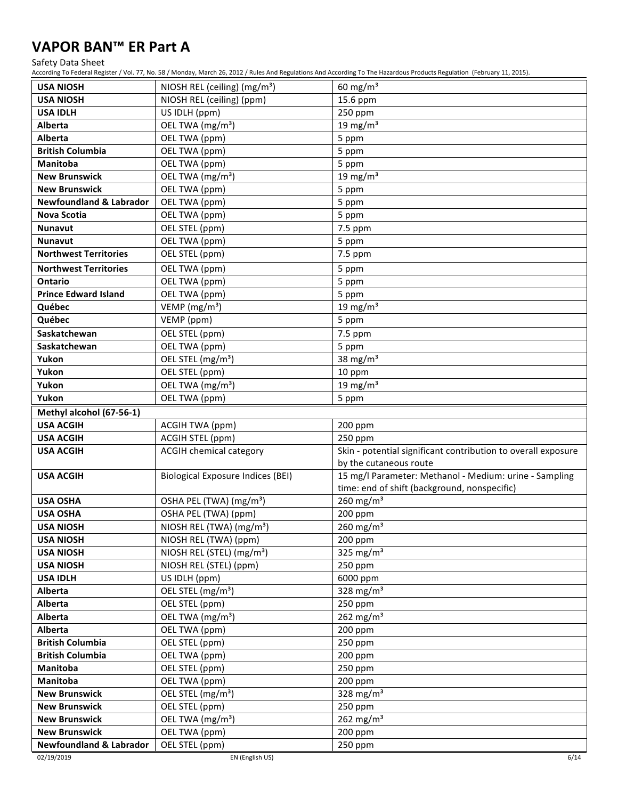#### Safety Data Sheet

According To Federal Register / Vol. 77, No. 58 / Monday, March 26, 2012 / Rules And Regulations And According To The Hazardous Products Regulation (February 11, 2015).

| <b>USA NIOSH</b>                   | NIOSH REL (ceiling) ( $mg/m3$ )          | $60 \text{ mg/m}^3$                                           |
|------------------------------------|------------------------------------------|---------------------------------------------------------------|
| <b>USA NIOSH</b>                   | NIOSH REL (ceiling) (ppm)                | 15.6 ppm                                                      |
| <b>USA IDLH</b>                    | US IDLH (ppm)                            | 250 ppm                                                       |
| <b>Alberta</b>                     | OEL TWA (mg/m <sup>3</sup> )             | 19 mg/m $3$                                                   |
| Alberta                            | OEL TWA (ppm)                            | 5 ppm                                                         |
| <b>British Columbia</b>            | OEL TWA (ppm)                            | 5 ppm                                                         |
| Manitoba                           | OEL TWA (ppm)                            | 5 ppm                                                         |
| <b>New Brunswick</b>               | OEL TWA (mg/m <sup>3</sup> )             | 19 mg/m $3$                                                   |
| <b>New Brunswick</b>               | OEL TWA (ppm)                            | 5 ppm                                                         |
| <b>Newfoundland &amp; Labrador</b> | OEL TWA (ppm)                            | 5 ppm                                                         |
| <b>Nova Scotia</b>                 | OEL TWA (ppm)                            | 5 ppm                                                         |
| <b>Nunavut</b>                     | OEL STEL (ppm)                           | 7.5 ppm                                                       |
| <b>Nunavut</b>                     | OEL TWA (ppm)                            | 5 ppm                                                         |
| <b>Northwest Territories</b>       | OEL STEL (ppm)                           | 7.5 ppm                                                       |
| <b>Northwest Territories</b>       | OEL TWA (ppm)                            | 5 ppm                                                         |
| Ontario                            | OEL TWA (ppm)                            | 5 ppm                                                         |
| <b>Prince Edward Island</b>        | OEL TWA (ppm)                            | 5 ppm                                                         |
| Québec                             | VEMP (mg/m <sup>3</sup> )                | 19 mg/m $3$                                                   |
| Québec                             | VEMP (ppm)                               | 5 ppm                                                         |
| Saskatchewan                       | OEL STEL (ppm)                           | 7.5 ppm                                                       |
| Saskatchewan                       | OEL TWA (ppm)                            | 5 ppm                                                         |
| Yukon                              | OEL STEL (mg/m <sup>3</sup> )            | 38 mg/ $m3$                                                   |
| Yukon                              | OEL STEL (ppm)                           | 10 ppm                                                        |
| Yukon                              | OEL TWA (mg/m <sup>3</sup> )             | 19 mg/m $3$                                                   |
| Yukon                              | OEL TWA (ppm)                            | 5 ppm                                                         |
| Methyl alcohol (67-56-1)           |                                          |                                                               |
| <b>USA ACGIH</b>                   | <b>ACGIH TWA (ppm)</b>                   | 200 ppm                                                       |
| <b>USA ACGIH</b>                   | ACGIH STEL (ppm)                         | 250 ppm                                                       |
| <b>USA ACGIH</b>                   | <b>ACGIH chemical category</b>           | Skin - potential significant contribution to overall exposure |
|                                    |                                          | by the cutaneous route                                        |
| <b>USA ACGIH</b>                   | <b>Biological Exposure Indices (BEI)</b> | 15 mg/l Parameter: Methanol - Medium: urine - Sampling        |
|                                    |                                          | time: end of shift (background, nonspecific)                  |
| <b>USA OSHA</b>                    | OSHA PEL (TWA) (mg/m <sup>3</sup> )      | 260 $mg/m3$                                                   |
| <b>USA OSHA</b>                    | OSHA PEL (TWA) (ppm)                     | 200 ppm                                                       |
| <b>USA NIOSH</b>                   | NIOSH REL (TWA) (mg/m <sup>3</sup> )     | $260$ mg/m <sup>3</sup>                                       |
| <b>USA NIOSH</b>                   | NIOSH REL (TWA) (ppm)                    | 200 ppm                                                       |
| <b>USA NIOSH</b>                   | NIOSH REL (STEL) (mg/m <sup>3</sup> )    | $\frac{1}{325}$ mg/m <sup>3</sup>                             |
| <b>USA NIOSH</b>                   | NIOSH REL (STEL) (ppm)                   | 250 ppm                                                       |
| <b>USA IDLH</b>                    | US IDLH (ppm)                            | 6000 ppm                                                      |
| Alberta                            | OEL STEL (mg/m <sup>3</sup> )            | 328 mg/m <sup>3</sup>                                         |
| Alberta                            | OEL STEL (ppm)                           | 250 ppm                                                       |
| Alberta                            | OEL TWA (mg/m <sup>3</sup> )             | 262 $mg/m3$                                                   |
| Alberta                            | OEL TWA (ppm)                            | 200 ppm                                                       |
| <b>British Columbia</b>            | OEL STEL (ppm)                           | 250 ppm                                                       |
| <b>British Columbia</b>            | OEL TWA (ppm)                            | 200 ppm                                                       |
| Manitoba                           | OEL STEL (ppm)                           | 250 ppm                                                       |
| Manitoba                           | OEL TWA (ppm)                            | 200 ppm                                                       |
| <b>New Brunswick</b>               | OEL STEL (mg/m <sup>3</sup> )            | 328 mg/m $3$                                                  |
| <b>New Brunswick</b>               | OEL STEL (ppm)                           | 250 ppm                                                       |
| <b>New Brunswick</b>               | OEL TWA (mg/m <sup>3</sup> )             | 262 $mg/m3$                                                   |
| <b>New Brunswick</b>               | OEL TWA (ppm)                            | 200 ppm                                                       |
| <b>Newfoundland &amp; Labrador</b> | OEL STEL (ppm)                           | 250 ppm                                                       |
| 02/19/2019                         | EN (English US)                          | 6/14                                                          |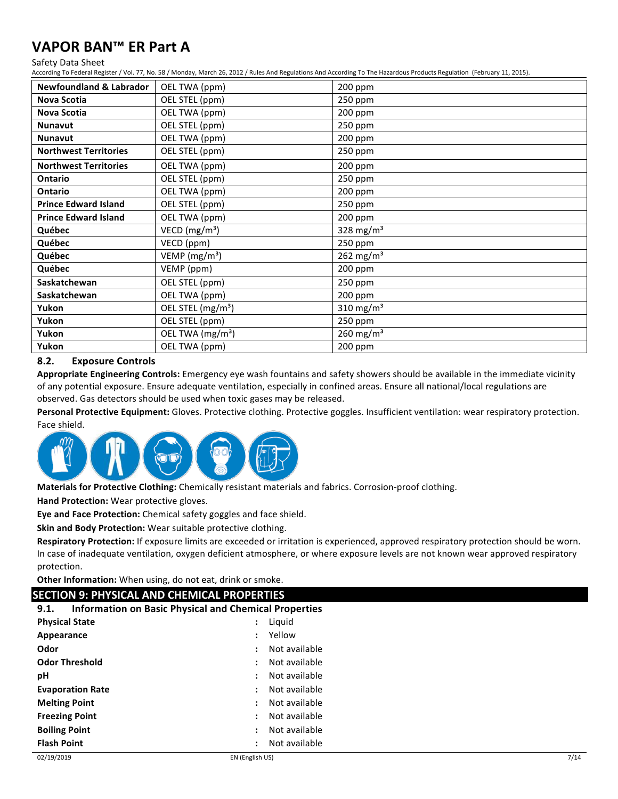#### Safety Data Sheet

According To Federal Register / Vol. 77, No. 58 / Monday, March 26, 2012 / Rules And Regulations And According To The Hazardous Products Regulation (February 11, 2015).

| <b>Newfoundland &amp; Labrador</b> | OEL TWA (ppm)                 | 200 ppm               |
|------------------------------------|-------------------------------|-----------------------|
| Nova Scotia                        | OEL STEL (ppm)                | 250 ppm               |
| Nova Scotia                        | OEL TWA (ppm)                 | 200 ppm               |
| <b>Nunavut</b>                     | OEL STEL (ppm)                | 250 ppm               |
| <b>Nunavut</b>                     | OEL TWA (ppm)                 | 200 ppm               |
| <b>Northwest Territories</b>       | OEL STEL (ppm)                | 250 ppm               |
| <b>Northwest Territories</b>       | OEL TWA (ppm)                 | 200 ppm               |
| <b>Ontario</b>                     | OEL STEL (ppm)                | 250 ppm               |
| <b>Ontario</b>                     | OEL TWA (ppm)                 | 200 ppm               |
| <b>Prince Edward Island</b>        | OEL STEL (ppm)                | 250 ppm               |
| <b>Prince Edward Island</b>        | OEL TWA (ppm)                 | 200 ppm               |
| Québec                             | VECD ( $mg/m3$ )              | 328 mg/m <sup>3</sup> |
| Québec                             | VECD (ppm)                    | 250 ppm               |
| Québec                             | VEMP ( $mg/m3$ )              | 262 mg/m <sup>3</sup> |
| Québec                             | VEMP (ppm)                    | 200 ppm               |
| Saskatchewan                       | OEL STEL (ppm)                | $250$ ppm             |
| Saskatchewan                       | OEL TWA (ppm)                 | 200 ppm               |
| Yukon                              | OEL STEL (mg/m <sup>3</sup> ) | 310 mg/m <sup>3</sup> |
| Yukon                              | OEL STEL (ppm)                | 250 ppm               |
| Yukon                              | OEL TWA (mg/m <sup>3</sup> )  | 260 mg/m <sup>3</sup> |
| Yukon                              | OEL TWA (ppm)                 | 200 ppm               |

#### **8.2. Exposure Controls**

Appropriate Engineering Controls: Emergency eye wash fountains and safety showers should be available in the immediate vicinity of any potential exposure. Ensure adequate ventilation, especially in confined areas. Ensure all national/local regulations are observed. Gas detectors should be used when toxic gases may be released.

Personal Protective Equipment: Gloves. Protective clothing. Protective goggles. Insufficient ventilation: wear respiratory protection. Face shield.



Materials for Protective Clothing: Chemically resistant materials and fabrics. Corrosion-proof clothing.

**Hand Protection:** Wear protective gloves.

**Eye and Face Protection:** Chemical safety goggles and face shield.

**Skin and Body Protection:** Wear suitable protective clothing.

Respiratory Protection: If exposure limits are exceeded or irritation is experienced, approved respiratory protection should be worn. In case of inadequate ventilation, oxygen deficient atmosphere, or where exposure levels are not known wear approved respiratory protection.

**Other Information:** When using, do not eat, drink or smoke.

### **SECTION 9: PHYSICAL AND CHEMICAL PROPERTIES**

## **9.1.** Information on Basic Physical and Chemical Properties

| <b>Physical State</b>   | $\ddot{\phantom{a}}$ | Liguid        |
|-------------------------|----------------------|---------------|
| Appearance              | $\ddot{\phantom{a}}$ | Yellow        |
| Odor                    | $\ddot{\phantom{a}}$ | Not available |
| <b>Odor Threshold</b>   | ÷                    | Not available |
| рH                      | ÷                    | Not available |
| <b>Evaporation Rate</b> | $\ddot{\phantom{a}}$ | Not available |
| <b>Melting Point</b>    | $\ddot{\phantom{a}}$ | Not available |
| <b>Freezing Point</b>   | :                    | Not available |
| <b>Boiling Point</b>    | ÷                    | Not available |
| <b>Flash Point</b>      | $\ddot{\phantom{a}}$ | Not available |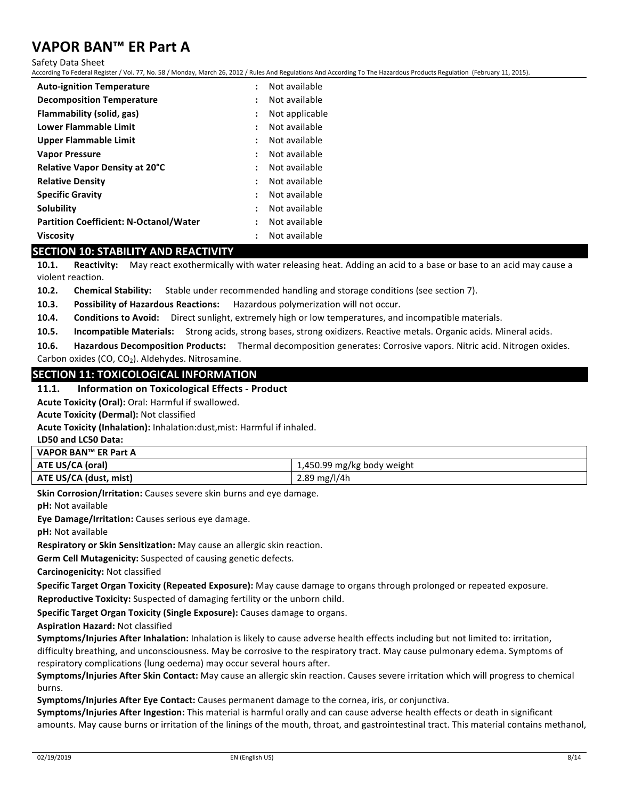Safety Data Sheet

According To Federal Register / Vol. 77, No. 58 / Monday, March 26, 2012 / Rules And Regulations And According To The Hazardous Products Regulation (February 11, 2015).

| <b>Auto-ignition Temperature</b>              |                      | Not available  |
|-----------------------------------------------|----------------------|----------------|
| <b>Decomposition Temperature</b>              | $\ddot{\cdot}$       | Not available  |
| Flammability (solid, gas)                     | $\ddot{\phantom{a}}$ | Not applicable |
| Lower Flammable Limit                         | $\ddot{\cdot}$       | Not available  |
| Upper Flammable Limit                         |                      | Not available  |
| <b>Vapor Pressure</b>                         |                      | Not available  |
| <b>Relative Vapor Density at 20°C</b>         | $\ddot{\phantom{0}}$ | Not available  |
| <b>Relative Density</b>                       |                      | Not available  |
| <b>Specific Gravity</b>                       | ٠                    | Not available  |
| Solubility                                    | $\ddot{\phantom{0}}$ | Not available  |
| <b>Partition Coefficient: N-Octanol/Water</b> |                      | Not available  |
| Viscosity                                     |                      | Not available  |

### **SECTION 10: STABILITY AND REACTIVITY**

**10.1.** Reactivity: May react exothermically with water releasing heat. Adding an acid to a base or base to an acid may cause a violent reaction.

**10.2.** Chemical Stability: Stable under recommended handling and storage conditions (see section 7).

**10.3.** Possibility of Hazardous Reactions: Hazardous polymerization will not occur.

**10.4.** Conditions to Avoid: Direct sunlight, extremely high or low temperatures, and incompatible materials.

10.5. **Incompatible Materials:** Strong acids, strong bases, strong oxidizers. Reactive metals. Organic acids. Mineral acids.

**10.6.** Hazardous Decomposition Products: Thermal decomposition generates: Corrosive vapors. Nitric acid. Nitrogen oxides. Carbon oxides  $(CO, CO<sub>2</sub>)$ . Aldehydes. Nitrosamine.

#### **SECTION 11: TOXICOLOGICAL INFORMATION**

#### **11.1.** Information on Toxicological Effects - Product

Acute Toxicity (Oral): Oral: Harmful if swallowed.

**Acute Toxicity (Dermal):** Not classified

Acute Toxicity (Inhalation): Inhalation:dust,mist: Harmful if inhaled.

**LD50 and LC50 Data:**

| VAPOR BAN™ ER Part A   |                            |
|------------------------|----------------------------|
| ATE US/CA (oral)       | 1,450.99 mg/kg body weight |
| ATE US/CA (dust, mist) | 2.89 mg/l/4h               |

**Skin Corrosion/Irritation:** Causes severe skin burns and eye damage.

**pH:** Not available

**Eye Damage/Irritation:** Causes serious eye damage.

**pH:** Not available

**Respiratory or Skin Sensitization:** May cause an allergic skin reaction.

**Germ Cell Mutagenicity:** Suspected of causing genetic defects.

**Carcinogenicity: Not classified** 

**Specific Target Organ Toxicity (Repeated Exposure):** May cause damage to organs through prolonged or repeated exposure. **Reproductive Toxicity:** Suspected of damaging fertility or the unborn child.

**Specific Target Organ Toxicity (Single Exposure):** Causes damage to organs.

**Aspiration Hazard: Not classified** 

Symptoms/Injuries After Inhalation: Inhalation is likely to cause adverse health effects including but not limited to: irritation,

difficulty breathing, and unconsciousness. May be corrosive to the respiratory tract. May cause pulmonary edema. Symptoms of respiratory complications (lung oedema) may occur several hours after.

Symptoms/Injuries After Skin Contact: May cause an allergic skin reaction. Causes severe irritation which will progress to chemical burns.

**Symptoms/Injuries After Eye Contact:** Causes permanent damage to the cornea, iris, or conjunctiva.

**Symptoms/Injuries After Ingestion:** This material is harmful orally and can cause adverse health effects or death in significant amounts. May cause burns or irritation of the linings of the mouth, throat, and gastrointestinal tract. This material contains methanol,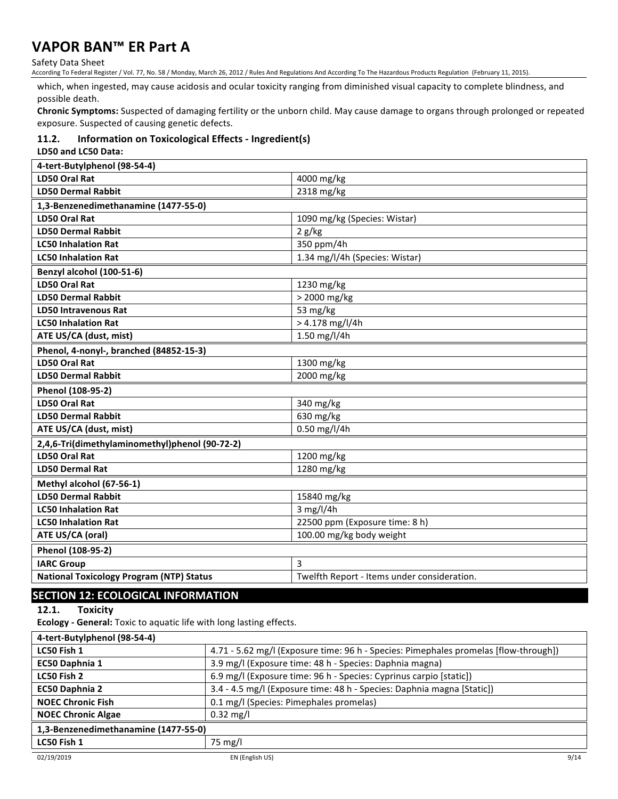Safety Data Sheet

According To Federal Register / Vol. 77, No. 58 / Monday, March 26, 2012 / Rules And Regulations And According To The Hazardous Products Regulation (February 11, 2015).

which, when ingested, may cause acidosis and ocular toxicity ranging from diminished visual capacity to complete blindness, and possible death.

Chronic Symptoms: Suspected of damaging fertility or the unborn child. May cause damage to organs through prolonged or repeated exposure. Suspected of causing genetic defects.

### **11.2. Information on Toxicological Effects - Ingredient(s)**

**LD50 and LC50 Data:** 

| 4-tert-Butylphenol (98-54-4)                    |                                             |
|-------------------------------------------------|---------------------------------------------|
| <b>LD50 Oral Rat</b>                            | 4000 mg/kg                                  |
| <b>LD50 Dermal Rabbit</b>                       | 2318 mg/kg                                  |
| 1,3-Benzenedimethanamine (1477-55-0)            |                                             |
| <b>LD50 Oral Rat</b>                            | 1090 mg/kg (Species: Wistar)                |
| <b>LD50 Dermal Rabbit</b>                       | 2 g/kg                                      |
| <b>LC50 Inhalation Rat</b>                      | 350 ppm/4h                                  |
| <b>LC50 Inhalation Rat</b>                      | 1.34 mg/l/4h (Species: Wistar)              |
| Benzyl alcohol (100-51-6)                       |                                             |
| <b>LD50 Oral Rat</b>                            | 1230 mg/kg                                  |
| <b>LD50 Dermal Rabbit</b>                       | > 2000 mg/kg                                |
| <b>LD50 Intravenous Rat</b>                     | 53 mg/kg                                    |
| <b>LC50 Inhalation Rat</b>                      | $> 4.178$ mg/l/4h                           |
| ATE US/CA (dust, mist)                          | 1.50 mg/l/4h                                |
| Phenol, 4-nonyl-, branched (84852-15-3)         |                                             |
| LD50 Oral Rat                                   | 1300 mg/kg                                  |
| <b>LD50 Dermal Rabbit</b>                       | 2000 mg/kg                                  |
| Phenol (108-95-2)                               |                                             |
| LD50 Oral Rat                                   | 340 mg/kg                                   |
| <b>LD50 Dermal Rabbit</b>                       | 630 mg/kg                                   |
| ATE US/CA (dust, mist)                          | 0.50 mg/l/4h                                |
| 2,4,6-Tri(dimethylaminomethyl)phenol (90-72-2)  |                                             |
| <b>LD50 Oral Rat</b>                            | 1200 mg/kg                                  |
| <b>LD50 Dermal Rat</b>                          | 1280 mg/kg                                  |
| Methyl alcohol (67-56-1)                        |                                             |
| <b>LD50 Dermal Rabbit</b>                       | 15840 mg/kg                                 |
| <b>LC50 Inhalation Rat</b>                      | $3$ mg/l/4h                                 |
| <b>LC50 Inhalation Rat</b>                      | 22500 ppm (Exposure time: 8 h)              |
| ATE US/CA (oral)                                | 100.00 mg/kg body weight                    |
| Phenol (108-95-2)                               |                                             |
| <b>IARC Group</b>                               | 3                                           |
| <b>National Toxicology Program (NTP) Status</b> | Twelfth Report - Items under consideration. |

## **SECTION 12: ECOLOGICAL INFORMATION**

12.1. Toxicity

**Ecology** - General: Toxic to aquatic life with long lasting effects.

| 4-tert-Butylphenol (98-54-4)         |                                                                                      |
|--------------------------------------|--------------------------------------------------------------------------------------|
| LC50 Fish 1                          | 4.71 - 5.62 mg/l (Exposure time: 96 h - Species: Pimephales promelas [flow-through]) |
| EC50 Daphnia 1                       | 3.9 mg/l (Exposure time: 48 h - Species: Daphnia magna)                              |
| LC50 Fish 2                          | 6.9 mg/l (Exposure time: 96 h - Species: Cyprinus carpio [static])                   |
| <b>EC50 Daphnia 2</b>                | 3.4 - 4.5 mg/l (Exposure time: 48 h - Species: Daphnia magna [Static])               |
| <b>NOEC Chronic Fish</b>             | 0.1 mg/l (Species: Pimephales promelas)                                              |
| <b>NOEC Chronic Algae</b>            | $0.32 \text{ mg/l}$                                                                  |
| 1,3-Benzenedimethanamine (1477-55-0) |                                                                                      |
| LC50 Fish 1                          | 75 mg/l                                                                              |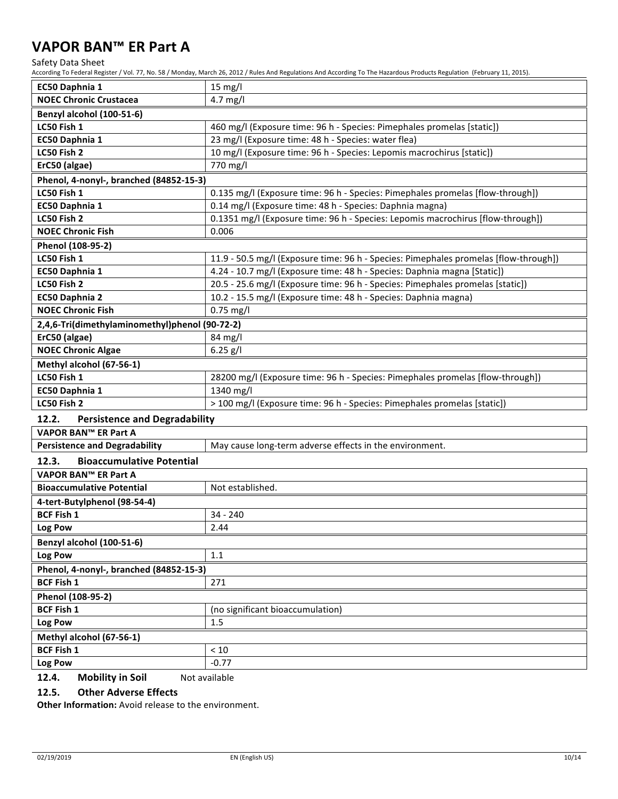Safety Data Sheet

According To Federal Register / Vol. 77, No. 58 / Monday, March 26, 2012 / Rules And Regulations And According To The Hazardous Products Regulation (February 11, 2015).

| EC50 Daphnia 1                                 | $15 \text{ mg/l}$                                                                    |  |  |  |
|------------------------------------------------|--------------------------------------------------------------------------------------|--|--|--|
| <b>NOEC Chronic Crustacea</b>                  | 4.7 mg/l                                                                             |  |  |  |
| Benzyl alcohol (100-51-6)                      |                                                                                      |  |  |  |
| LC50 Fish 1                                    | 460 mg/l (Exposure time: 96 h - Species: Pimephales promelas [static])               |  |  |  |
| EC50 Daphnia 1                                 | 23 mg/l (Exposure time: 48 h - Species: water flea)                                  |  |  |  |
| LC50 Fish 2                                    | 10 mg/l (Exposure time: 96 h - Species: Lepomis macrochirus [static])                |  |  |  |
| ErC50 (algae)                                  | 770 mg/l                                                                             |  |  |  |
| Phenol, 4-nonyl-, branched (84852-15-3)        |                                                                                      |  |  |  |
| LC50 Fish 1                                    | 0.135 mg/l (Exposure time: 96 h - Species: Pimephales promelas [flow-through])       |  |  |  |
| EC50 Daphnia 1                                 | 0.14 mg/l (Exposure time: 48 h - Species: Daphnia magna)                             |  |  |  |
| LC50 Fish 2                                    | 0.1351 mg/l (Exposure time: 96 h - Species: Lepomis macrochirus [flow-through])      |  |  |  |
| <b>NOEC Chronic Fish</b>                       | 0.006                                                                                |  |  |  |
| Phenol (108-95-2)                              |                                                                                      |  |  |  |
| LC50 Fish 1                                    | 11.9 - 50.5 mg/l (Exposure time: 96 h - Species: Pimephales promelas [flow-through]) |  |  |  |
| EC50 Daphnia 1                                 | 4.24 - 10.7 mg/l (Exposure time: 48 h - Species: Daphnia magna [Static])             |  |  |  |
| LC50 Fish 2                                    | 20.5 - 25.6 mg/l (Exposure time: 96 h - Species: Pimephales promelas [static])       |  |  |  |
| EC50 Daphnia 2                                 | 10.2 - 15.5 mg/l (Exposure time: 48 h - Species: Daphnia magna)                      |  |  |  |
| <b>NOEC Chronic Fish</b>                       | $0.75$ mg/l                                                                          |  |  |  |
| 2,4,6-Tri(dimethylaminomethyl)phenol (90-72-2) |                                                                                      |  |  |  |
| ErC50 (algae)                                  | 84 mg/l                                                                              |  |  |  |
| <b>NOEC Chronic Algae</b>                      | $6.25$ $g/I$                                                                         |  |  |  |
| Methyl alcohol (67-56-1)                       |                                                                                      |  |  |  |
| LC50 Fish 1                                    | 28200 mg/l (Exposure time: 96 h - Species: Pimephales promelas [flow-through])       |  |  |  |
| EC50 Daphnia 1                                 | 1340 mg/l                                                                            |  |  |  |
| LC50 Fish 2                                    | > 100 mg/l (Exposure time: 96 h - Species: Pimephales promelas [static])             |  |  |  |
| 12.2.<br><b>Persistence and Degradability</b>  |                                                                                      |  |  |  |
| VAPOR BAN™ ER Part A                           |                                                                                      |  |  |  |
| <b>Persistence and Degradability</b>           | May cause long-term adverse effects in the environment.                              |  |  |  |
| <b>Bioaccumulative Potential</b><br>12.3.      |                                                                                      |  |  |  |
| VAPOR BAN™ ER Part A                           |                                                                                      |  |  |  |
| <b>Bioaccumulative Potential</b>               | Not established.                                                                     |  |  |  |
| 4-tert-Butylphenol (98-54-4)                   |                                                                                      |  |  |  |
| <b>BCF Fish 1</b>                              | 34 - 240                                                                             |  |  |  |
| Log Pow                                        | 2.44                                                                                 |  |  |  |
| Benzyl alcohol (100-51-6)                      |                                                                                      |  |  |  |
| Log Pow                                        | 1.1                                                                                  |  |  |  |
| Phenol, 4-nonyl-, branched (84852-15-3)        |                                                                                      |  |  |  |
| <b>BCF Fish 1</b>                              | 271                                                                                  |  |  |  |
| Phenol (108-95-2)                              |                                                                                      |  |  |  |
| <b>BCF Fish 1</b>                              | (no significant bioaccumulation)                                                     |  |  |  |
| Log Pow                                        | 1.5                                                                                  |  |  |  |
| Methyl alcohol (67-56-1)                       |                                                                                      |  |  |  |
| <b>BCF Fish 1</b>                              | $<10$                                                                                |  |  |  |
| Log Pow                                        | $-0.77$                                                                              |  |  |  |

**12.4.** Mobility in Soil Not available

#### **12.5.** Other Adverse Effects

**Other Information:** Avoid release to the environment.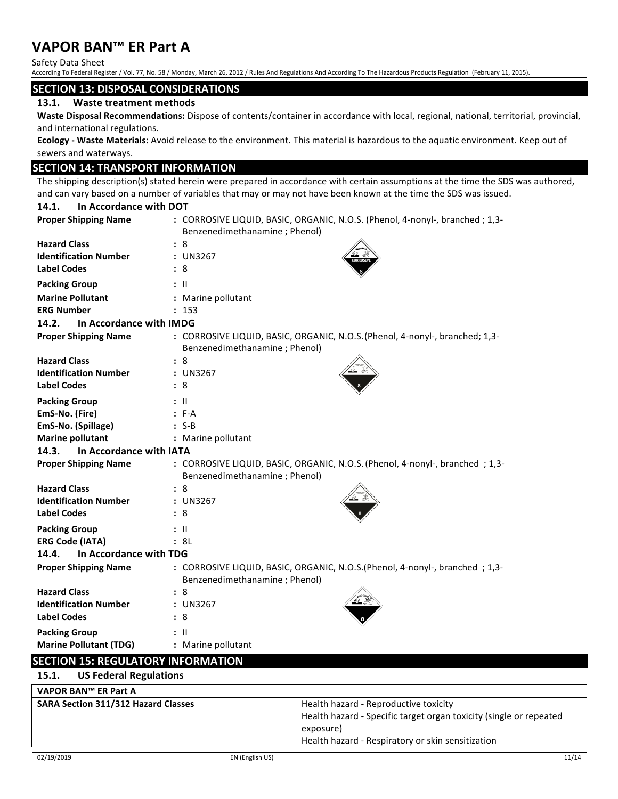Safety Data Sheet

According To Federal Register / Vol. 77, No. 58 / Monday, March 26, 2012 / Rules And Regulations And According To The Hazardous Products Regulation (February 11, 2015).

#### **SECTION 13: DISPOSAL CONSIDERATIONS**

#### 13.1. Waste treatment methods

Waste Disposal Recommendations: Dispose of contents/container in accordance with local, regional, national, territorial, provincial, and international regulations.

**Ecology** - Waste Materials: Avoid release to the environment. This material is hazardous to the aquatic environment. Keep out of sewers and waterways.

### **SECTION 14: TRANSPORT INFORMATION**

The shipping description(s) stated herein were prepared in accordance with certain assumptions at the time the SDS was authored, and can vary based on a number of variables that may or may not have been known at the time the SDS was issued.

## 14.1. **In Accordance with DOT**

| <b>Proper Shipping Name</b>      | : CORROSIVE LIQUID, BASIC, ORGANIC, N.O.S. (Phenol, 4-nonyl-, branched ; 1,3-                                 |
|----------------------------------|---------------------------------------------------------------------------------------------------------------|
|                                  | Benzenedimethanamine; Phenol)                                                                                 |
| <b>Hazard Class</b>              | :8                                                                                                            |
| <b>Identification Number</b>     | : UN3267                                                                                                      |
| <b>Label Codes</b>               | : 8                                                                                                           |
| <b>Packing Group</b>             | $:$ $\mathsf{II}$                                                                                             |
| <b>Marine Pollutant</b>          | : Marine pollutant                                                                                            |
| <b>ERG Number</b>                | : 153                                                                                                         |
| 14.2.<br>In Accordance with IMDG |                                                                                                               |
| <b>Proper Shipping Name</b>      | : CORROSIVE LIQUID, BASIC, ORGANIC, N.O.S. (Phenol, 4-nonyl-, branched; 1,3-<br>Benzenedimethanamine; Phenol) |
| <b>Hazard Class</b>              | : 8                                                                                                           |
| <b>Identification Number</b>     | : UN3267                                                                                                      |
| <b>Label Codes</b>               | : 8                                                                                                           |
| <b>Packing Group</b>             | $:$ $\mathsf{II}$                                                                                             |
| EmS-No. (Fire)                   | $: F-A$                                                                                                       |
| EmS-No. (Spillage)               | $: S-B$                                                                                                       |
| <b>Marine pollutant</b>          | : Marine pollutant                                                                                            |
| 14.3.<br>In Accordance with IATA |                                                                                                               |
| <b>Proper Shipping Name</b>      | : CORROSIVE LIQUID, BASIC, ORGANIC, N.O.S. (Phenol, 4-nonyl-, branched; 1,3-<br>Benzenedimethanamine; Phenol) |
| <b>Hazard Class</b>              | : 8                                                                                                           |
| <b>Identification Number</b>     | : UN3267                                                                                                      |
| <b>Label Codes</b>               | : 8                                                                                                           |
| <b>Packing Group</b>             | : II                                                                                                          |
| <b>ERG Code (IATA)</b>           | : 8L                                                                                                          |
| In Accordance with TDG<br>14.4.  |                                                                                                               |
| <b>Proper Shipping Name</b>      | : CORROSIVE LIQUID, BASIC, ORGANIC, N.O.S.(Phenol, 4-nonyl-, branched ; 1,3-<br>Benzenedimethanamine; Phenol) |
| <b>Hazard Class</b>              | : 8                                                                                                           |
| <b>Identification Number</b>     | : UN3267                                                                                                      |
| <b>Label Codes</b>               | : 8                                                                                                           |
| <b>Packing Group</b>             | $:$ $\mathsf{II}$                                                                                             |
| <b>Marine Pollutant (TDG)</b>    | : Marine pollutant                                                                                            |

## **SECTION 15: REGULATORY INFORMATION**

| VAPOR BAN™ ER Part A                       |                                                                                                                                                                               |
|--------------------------------------------|-------------------------------------------------------------------------------------------------------------------------------------------------------------------------------|
| <b>SARA Section 311/312 Hazard Classes</b> | Health hazard - Reproductive toxicity<br>Health hazard - Specific target organ toxicity (single or repeated<br>exposure)<br>Health hazard - Respiratory or skin sensitization |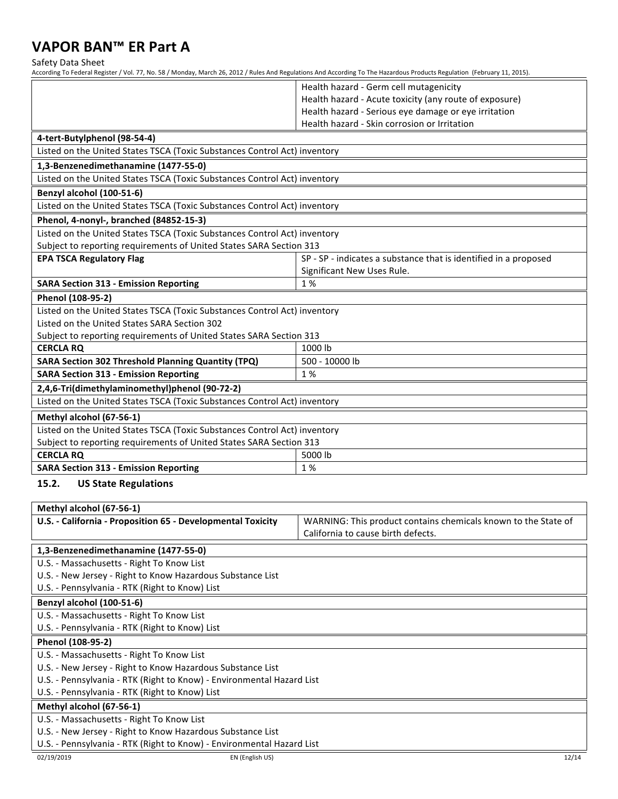Safety Data Sheet

According To Federal Register / Vol. 77, No. 58 / Monday, March 26, 2012 / Rules And Regulations And According To The Hazardous Products Regulation (February 11, 2015).

| Health hazard - Acute toxicity (any route of exposure)<br>Health hazard - Serious eye damage or eye irritation<br>Health hazard - Skin corrosion or Irritation<br>4-tert-Butylphenol (98-54-4)<br>Listed on the United States TSCA (Toxic Substances Control Act) inventory<br>1,3-Benzenedimethanamine (1477-55-0)<br>Listed on the United States TSCA (Toxic Substances Control Act) inventory<br>Benzyl alcohol (100-51-6)<br>Listed on the United States TSCA (Toxic Substances Control Act) inventory<br>Phenol, 4-nonyl-, branched (84852-15-3)<br>Listed on the United States TSCA (Toxic Substances Control Act) inventory<br>Subject to reporting requirements of United States SARA Section 313<br><b>EPA TSCA Regulatory Flag</b><br>SP - SP - indicates a substance that is identified in a proposed<br>Significant New Uses Rule.<br>1%<br><b>SARA Section 313 - Emission Reporting</b><br>Phenol (108-95-2)<br>Listed on the United States TSCA (Toxic Substances Control Act) inventory<br>Listed on the United States SARA Section 302<br>Subject to reporting requirements of United States SARA Section 313<br><b>CERCLA RQ</b><br>1000 lb<br><b>SARA Section 302 Threshold Planning Quantity (TPQ)</b><br>500 - 10000 lb<br><b>SARA Section 313 - Emission Reporting</b><br>1%<br>2,4,6-Tri(dimethylaminomethyl)phenol (90-72-2)<br>Listed on the United States TSCA (Toxic Substances Control Act) inventory<br>Methyl alcohol (67-56-1)<br>Listed on the United States TSCA (Toxic Substances Control Act) inventory<br>Subject to reporting requirements of United States SARA Section 313<br><b>CERCLA RQ</b><br>5000 lb<br>1%<br><b>SARA Section 313 - Emission Reporting</b><br>15.2.<br><b>US State Regulations</b><br>Methyl alcohol (67-56-1)<br>U.S. - California - Proposition 65 - Developmental Toxicity<br>WARNING: This product contains chemicals known to the State of<br>California to cause birth defects.<br>1,3-Benzenedimethanamine (1477-55-0)<br>U.S. - Massachusetts - Right To Know List<br>U.S. - New Jersey - Right to Know Hazardous Substance List<br>U.S. - Pennsylvania - RTK (Right to Know) List<br>Benzyl alcohol (100-51-6)<br>U.S. - Massachusetts - Right To Know List<br>U.S. - Pennsylvania - RTK (Right to Know) List<br>Phenol (108-95-2)<br>U.S. - Massachusetts - Right To Know List<br>U.S. - New Jersey - Right to Know Hazardous Substance List<br>U.S. - Pennsylvania - RTK (Right to Know) - Environmental Hazard List<br>U.S. - Pennsylvania - RTK (Right to Know) List<br>Methyl alcohol (67-56-1)<br>U.S. - Massachusetts - Right To Know List<br>U.S. - New Jersey - Right to Know Hazardous Substance List<br>U.S. - Pennsylvania - RTK (Right to Know) - Environmental Hazard List |  | Health hazard - Germ cell mutagenicity |  |  |  |
|--------------------------------------------------------------------------------------------------------------------------------------------------------------------------------------------------------------------------------------------------------------------------------------------------------------------------------------------------------------------------------------------------------------------------------------------------------------------------------------------------------------------------------------------------------------------------------------------------------------------------------------------------------------------------------------------------------------------------------------------------------------------------------------------------------------------------------------------------------------------------------------------------------------------------------------------------------------------------------------------------------------------------------------------------------------------------------------------------------------------------------------------------------------------------------------------------------------------------------------------------------------------------------------------------------------------------------------------------------------------------------------------------------------------------------------------------------------------------------------------------------------------------------------------------------------------------------------------------------------------------------------------------------------------------------------------------------------------------------------------------------------------------------------------------------------------------------------------------------------------------------------------------------------------------------------------------------------------------------------------------------------------------------------------------------------------------------------------------------------------------------------------------------------------------------------------------------------------------------------------------------------------------------------------------------------------------------------------------------------------------------------------------------------------------------------------------------------------------------------------------------------------------------------------------------------------------------------------------------------------------------------------------------------------------------------------------------------------------------------------------------------|--|----------------------------------------|--|--|--|
|                                                                                                                                                                                                                                                                                                                                                                                                                                                                                                                                                                                                                                                                                                                                                                                                                                                                                                                                                                                                                                                                                                                                                                                                                                                                                                                                                                                                                                                                                                                                                                                                                                                                                                                                                                                                                                                                                                                                                                                                                                                                                                                                                                                                                                                                                                                                                                                                                                                                                                                                                                                                                                                                                                                                                              |  |                                        |  |  |  |
|                                                                                                                                                                                                                                                                                                                                                                                                                                                                                                                                                                                                                                                                                                                                                                                                                                                                                                                                                                                                                                                                                                                                                                                                                                                                                                                                                                                                                                                                                                                                                                                                                                                                                                                                                                                                                                                                                                                                                                                                                                                                                                                                                                                                                                                                                                                                                                                                                                                                                                                                                                                                                                                                                                                                                              |  |                                        |  |  |  |
|                                                                                                                                                                                                                                                                                                                                                                                                                                                                                                                                                                                                                                                                                                                                                                                                                                                                                                                                                                                                                                                                                                                                                                                                                                                                                                                                                                                                                                                                                                                                                                                                                                                                                                                                                                                                                                                                                                                                                                                                                                                                                                                                                                                                                                                                                                                                                                                                                                                                                                                                                                                                                                                                                                                                                              |  |                                        |  |  |  |
|                                                                                                                                                                                                                                                                                                                                                                                                                                                                                                                                                                                                                                                                                                                                                                                                                                                                                                                                                                                                                                                                                                                                                                                                                                                                                                                                                                                                                                                                                                                                                                                                                                                                                                                                                                                                                                                                                                                                                                                                                                                                                                                                                                                                                                                                                                                                                                                                                                                                                                                                                                                                                                                                                                                                                              |  |                                        |  |  |  |
|                                                                                                                                                                                                                                                                                                                                                                                                                                                                                                                                                                                                                                                                                                                                                                                                                                                                                                                                                                                                                                                                                                                                                                                                                                                                                                                                                                                                                                                                                                                                                                                                                                                                                                                                                                                                                                                                                                                                                                                                                                                                                                                                                                                                                                                                                                                                                                                                                                                                                                                                                                                                                                                                                                                                                              |  |                                        |  |  |  |
|                                                                                                                                                                                                                                                                                                                                                                                                                                                                                                                                                                                                                                                                                                                                                                                                                                                                                                                                                                                                                                                                                                                                                                                                                                                                                                                                                                                                                                                                                                                                                                                                                                                                                                                                                                                                                                                                                                                                                                                                                                                                                                                                                                                                                                                                                                                                                                                                                                                                                                                                                                                                                                                                                                                                                              |  |                                        |  |  |  |
|                                                                                                                                                                                                                                                                                                                                                                                                                                                                                                                                                                                                                                                                                                                                                                                                                                                                                                                                                                                                                                                                                                                                                                                                                                                                                                                                                                                                                                                                                                                                                                                                                                                                                                                                                                                                                                                                                                                                                                                                                                                                                                                                                                                                                                                                                                                                                                                                                                                                                                                                                                                                                                                                                                                                                              |  |                                        |  |  |  |
|                                                                                                                                                                                                                                                                                                                                                                                                                                                                                                                                                                                                                                                                                                                                                                                                                                                                                                                                                                                                                                                                                                                                                                                                                                                                                                                                                                                                                                                                                                                                                                                                                                                                                                                                                                                                                                                                                                                                                                                                                                                                                                                                                                                                                                                                                                                                                                                                                                                                                                                                                                                                                                                                                                                                                              |  |                                        |  |  |  |
|                                                                                                                                                                                                                                                                                                                                                                                                                                                                                                                                                                                                                                                                                                                                                                                                                                                                                                                                                                                                                                                                                                                                                                                                                                                                                                                                                                                                                                                                                                                                                                                                                                                                                                                                                                                                                                                                                                                                                                                                                                                                                                                                                                                                                                                                                                                                                                                                                                                                                                                                                                                                                                                                                                                                                              |  |                                        |  |  |  |
|                                                                                                                                                                                                                                                                                                                                                                                                                                                                                                                                                                                                                                                                                                                                                                                                                                                                                                                                                                                                                                                                                                                                                                                                                                                                                                                                                                                                                                                                                                                                                                                                                                                                                                                                                                                                                                                                                                                                                                                                                                                                                                                                                                                                                                                                                                                                                                                                                                                                                                                                                                                                                                                                                                                                                              |  |                                        |  |  |  |
|                                                                                                                                                                                                                                                                                                                                                                                                                                                                                                                                                                                                                                                                                                                                                                                                                                                                                                                                                                                                                                                                                                                                                                                                                                                                                                                                                                                                                                                                                                                                                                                                                                                                                                                                                                                                                                                                                                                                                                                                                                                                                                                                                                                                                                                                                                                                                                                                                                                                                                                                                                                                                                                                                                                                                              |  |                                        |  |  |  |
|                                                                                                                                                                                                                                                                                                                                                                                                                                                                                                                                                                                                                                                                                                                                                                                                                                                                                                                                                                                                                                                                                                                                                                                                                                                                                                                                                                                                                                                                                                                                                                                                                                                                                                                                                                                                                                                                                                                                                                                                                                                                                                                                                                                                                                                                                                                                                                                                                                                                                                                                                                                                                                                                                                                                                              |  |                                        |  |  |  |
|                                                                                                                                                                                                                                                                                                                                                                                                                                                                                                                                                                                                                                                                                                                                                                                                                                                                                                                                                                                                                                                                                                                                                                                                                                                                                                                                                                                                                                                                                                                                                                                                                                                                                                                                                                                                                                                                                                                                                                                                                                                                                                                                                                                                                                                                                                                                                                                                                                                                                                                                                                                                                                                                                                                                                              |  |                                        |  |  |  |
|                                                                                                                                                                                                                                                                                                                                                                                                                                                                                                                                                                                                                                                                                                                                                                                                                                                                                                                                                                                                                                                                                                                                                                                                                                                                                                                                                                                                                                                                                                                                                                                                                                                                                                                                                                                                                                                                                                                                                                                                                                                                                                                                                                                                                                                                                                                                                                                                                                                                                                                                                                                                                                                                                                                                                              |  |                                        |  |  |  |
|                                                                                                                                                                                                                                                                                                                                                                                                                                                                                                                                                                                                                                                                                                                                                                                                                                                                                                                                                                                                                                                                                                                                                                                                                                                                                                                                                                                                                                                                                                                                                                                                                                                                                                                                                                                                                                                                                                                                                                                                                                                                                                                                                                                                                                                                                                                                                                                                                                                                                                                                                                                                                                                                                                                                                              |  |                                        |  |  |  |
|                                                                                                                                                                                                                                                                                                                                                                                                                                                                                                                                                                                                                                                                                                                                                                                                                                                                                                                                                                                                                                                                                                                                                                                                                                                                                                                                                                                                                                                                                                                                                                                                                                                                                                                                                                                                                                                                                                                                                                                                                                                                                                                                                                                                                                                                                                                                                                                                                                                                                                                                                                                                                                                                                                                                                              |  |                                        |  |  |  |
|                                                                                                                                                                                                                                                                                                                                                                                                                                                                                                                                                                                                                                                                                                                                                                                                                                                                                                                                                                                                                                                                                                                                                                                                                                                                                                                                                                                                                                                                                                                                                                                                                                                                                                                                                                                                                                                                                                                                                                                                                                                                                                                                                                                                                                                                                                                                                                                                                                                                                                                                                                                                                                                                                                                                                              |  |                                        |  |  |  |
|                                                                                                                                                                                                                                                                                                                                                                                                                                                                                                                                                                                                                                                                                                                                                                                                                                                                                                                                                                                                                                                                                                                                                                                                                                                                                                                                                                                                                                                                                                                                                                                                                                                                                                                                                                                                                                                                                                                                                                                                                                                                                                                                                                                                                                                                                                                                                                                                                                                                                                                                                                                                                                                                                                                                                              |  |                                        |  |  |  |
|                                                                                                                                                                                                                                                                                                                                                                                                                                                                                                                                                                                                                                                                                                                                                                                                                                                                                                                                                                                                                                                                                                                                                                                                                                                                                                                                                                                                                                                                                                                                                                                                                                                                                                                                                                                                                                                                                                                                                                                                                                                                                                                                                                                                                                                                                                                                                                                                                                                                                                                                                                                                                                                                                                                                                              |  |                                        |  |  |  |
|                                                                                                                                                                                                                                                                                                                                                                                                                                                                                                                                                                                                                                                                                                                                                                                                                                                                                                                                                                                                                                                                                                                                                                                                                                                                                                                                                                                                                                                                                                                                                                                                                                                                                                                                                                                                                                                                                                                                                                                                                                                                                                                                                                                                                                                                                                                                                                                                                                                                                                                                                                                                                                                                                                                                                              |  |                                        |  |  |  |
|                                                                                                                                                                                                                                                                                                                                                                                                                                                                                                                                                                                                                                                                                                                                                                                                                                                                                                                                                                                                                                                                                                                                                                                                                                                                                                                                                                                                                                                                                                                                                                                                                                                                                                                                                                                                                                                                                                                                                                                                                                                                                                                                                                                                                                                                                                                                                                                                                                                                                                                                                                                                                                                                                                                                                              |  |                                        |  |  |  |
|                                                                                                                                                                                                                                                                                                                                                                                                                                                                                                                                                                                                                                                                                                                                                                                                                                                                                                                                                                                                                                                                                                                                                                                                                                                                                                                                                                                                                                                                                                                                                                                                                                                                                                                                                                                                                                                                                                                                                                                                                                                                                                                                                                                                                                                                                                                                                                                                                                                                                                                                                                                                                                                                                                                                                              |  |                                        |  |  |  |
|                                                                                                                                                                                                                                                                                                                                                                                                                                                                                                                                                                                                                                                                                                                                                                                                                                                                                                                                                                                                                                                                                                                                                                                                                                                                                                                                                                                                                                                                                                                                                                                                                                                                                                                                                                                                                                                                                                                                                                                                                                                                                                                                                                                                                                                                                                                                                                                                                                                                                                                                                                                                                                                                                                                                                              |  |                                        |  |  |  |
|                                                                                                                                                                                                                                                                                                                                                                                                                                                                                                                                                                                                                                                                                                                                                                                                                                                                                                                                                                                                                                                                                                                                                                                                                                                                                                                                                                                                                                                                                                                                                                                                                                                                                                                                                                                                                                                                                                                                                                                                                                                                                                                                                                                                                                                                                                                                                                                                                                                                                                                                                                                                                                                                                                                                                              |  |                                        |  |  |  |
|                                                                                                                                                                                                                                                                                                                                                                                                                                                                                                                                                                                                                                                                                                                                                                                                                                                                                                                                                                                                                                                                                                                                                                                                                                                                                                                                                                                                                                                                                                                                                                                                                                                                                                                                                                                                                                                                                                                                                                                                                                                                                                                                                                                                                                                                                                                                                                                                                                                                                                                                                                                                                                                                                                                                                              |  |                                        |  |  |  |
|                                                                                                                                                                                                                                                                                                                                                                                                                                                                                                                                                                                                                                                                                                                                                                                                                                                                                                                                                                                                                                                                                                                                                                                                                                                                                                                                                                                                                                                                                                                                                                                                                                                                                                                                                                                                                                                                                                                                                                                                                                                                                                                                                                                                                                                                                                                                                                                                                                                                                                                                                                                                                                                                                                                                                              |  |                                        |  |  |  |
|                                                                                                                                                                                                                                                                                                                                                                                                                                                                                                                                                                                                                                                                                                                                                                                                                                                                                                                                                                                                                                                                                                                                                                                                                                                                                                                                                                                                                                                                                                                                                                                                                                                                                                                                                                                                                                                                                                                                                                                                                                                                                                                                                                                                                                                                                                                                                                                                                                                                                                                                                                                                                                                                                                                                                              |  |                                        |  |  |  |
|                                                                                                                                                                                                                                                                                                                                                                                                                                                                                                                                                                                                                                                                                                                                                                                                                                                                                                                                                                                                                                                                                                                                                                                                                                                                                                                                                                                                                                                                                                                                                                                                                                                                                                                                                                                                                                                                                                                                                                                                                                                                                                                                                                                                                                                                                                                                                                                                                                                                                                                                                                                                                                                                                                                                                              |  |                                        |  |  |  |
|                                                                                                                                                                                                                                                                                                                                                                                                                                                                                                                                                                                                                                                                                                                                                                                                                                                                                                                                                                                                                                                                                                                                                                                                                                                                                                                                                                                                                                                                                                                                                                                                                                                                                                                                                                                                                                                                                                                                                                                                                                                                                                                                                                                                                                                                                                                                                                                                                                                                                                                                                                                                                                                                                                                                                              |  |                                        |  |  |  |
|                                                                                                                                                                                                                                                                                                                                                                                                                                                                                                                                                                                                                                                                                                                                                                                                                                                                                                                                                                                                                                                                                                                                                                                                                                                                                                                                                                                                                                                                                                                                                                                                                                                                                                                                                                                                                                                                                                                                                                                                                                                                                                                                                                                                                                                                                                                                                                                                                                                                                                                                                                                                                                                                                                                                                              |  |                                        |  |  |  |
|                                                                                                                                                                                                                                                                                                                                                                                                                                                                                                                                                                                                                                                                                                                                                                                                                                                                                                                                                                                                                                                                                                                                                                                                                                                                                                                                                                                                                                                                                                                                                                                                                                                                                                                                                                                                                                                                                                                                                                                                                                                                                                                                                                                                                                                                                                                                                                                                                                                                                                                                                                                                                                                                                                                                                              |  |                                        |  |  |  |
|                                                                                                                                                                                                                                                                                                                                                                                                                                                                                                                                                                                                                                                                                                                                                                                                                                                                                                                                                                                                                                                                                                                                                                                                                                                                                                                                                                                                                                                                                                                                                                                                                                                                                                                                                                                                                                                                                                                                                                                                                                                                                                                                                                                                                                                                                                                                                                                                                                                                                                                                                                                                                                                                                                                                                              |  |                                        |  |  |  |
|                                                                                                                                                                                                                                                                                                                                                                                                                                                                                                                                                                                                                                                                                                                                                                                                                                                                                                                                                                                                                                                                                                                                                                                                                                                                                                                                                                                                                                                                                                                                                                                                                                                                                                                                                                                                                                                                                                                                                                                                                                                                                                                                                                                                                                                                                                                                                                                                                                                                                                                                                                                                                                                                                                                                                              |  |                                        |  |  |  |
|                                                                                                                                                                                                                                                                                                                                                                                                                                                                                                                                                                                                                                                                                                                                                                                                                                                                                                                                                                                                                                                                                                                                                                                                                                                                                                                                                                                                                                                                                                                                                                                                                                                                                                                                                                                                                                                                                                                                                                                                                                                                                                                                                                                                                                                                                                                                                                                                                                                                                                                                                                                                                                                                                                                                                              |  |                                        |  |  |  |
|                                                                                                                                                                                                                                                                                                                                                                                                                                                                                                                                                                                                                                                                                                                                                                                                                                                                                                                                                                                                                                                                                                                                                                                                                                                                                                                                                                                                                                                                                                                                                                                                                                                                                                                                                                                                                                                                                                                                                                                                                                                                                                                                                                                                                                                                                                                                                                                                                                                                                                                                                                                                                                                                                                                                                              |  |                                        |  |  |  |
|                                                                                                                                                                                                                                                                                                                                                                                                                                                                                                                                                                                                                                                                                                                                                                                                                                                                                                                                                                                                                                                                                                                                                                                                                                                                                                                                                                                                                                                                                                                                                                                                                                                                                                                                                                                                                                                                                                                                                                                                                                                                                                                                                                                                                                                                                                                                                                                                                                                                                                                                                                                                                                                                                                                                                              |  |                                        |  |  |  |
|                                                                                                                                                                                                                                                                                                                                                                                                                                                                                                                                                                                                                                                                                                                                                                                                                                                                                                                                                                                                                                                                                                                                                                                                                                                                                                                                                                                                                                                                                                                                                                                                                                                                                                                                                                                                                                                                                                                                                                                                                                                                                                                                                                                                                                                                                                                                                                                                                                                                                                                                                                                                                                                                                                                                                              |  |                                        |  |  |  |
|                                                                                                                                                                                                                                                                                                                                                                                                                                                                                                                                                                                                                                                                                                                                                                                                                                                                                                                                                                                                                                                                                                                                                                                                                                                                                                                                                                                                                                                                                                                                                                                                                                                                                                                                                                                                                                                                                                                                                                                                                                                                                                                                                                                                                                                                                                                                                                                                                                                                                                                                                                                                                                                                                                                                                              |  |                                        |  |  |  |
|                                                                                                                                                                                                                                                                                                                                                                                                                                                                                                                                                                                                                                                                                                                                                                                                                                                                                                                                                                                                                                                                                                                                                                                                                                                                                                                                                                                                                                                                                                                                                                                                                                                                                                                                                                                                                                                                                                                                                                                                                                                                                                                                                                                                                                                                                                                                                                                                                                                                                                                                                                                                                                                                                                                                                              |  |                                        |  |  |  |
|                                                                                                                                                                                                                                                                                                                                                                                                                                                                                                                                                                                                                                                                                                                                                                                                                                                                                                                                                                                                                                                                                                                                                                                                                                                                                                                                                                                                                                                                                                                                                                                                                                                                                                                                                                                                                                                                                                                                                                                                                                                                                                                                                                                                                                                                                                                                                                                                                                                                                                                                                                                                                                                                                                                                                              |  |                                        |  |  |  |
|                                                                                                                                                                                                                                                                                                                                                                                                                                                                                                                                                                                                                                                                                                                                                                                                                                                                                                                                                                                                                                                                                                                                                                                                                                                                                                                                                                                                                                                                                                                                                                                                                                                                                                                                                                                                                                                                                                                                                                                                                                                                                                                                                                                                                                                                                                                                                                                                                                                                                                                                                                                                                                                                                                                                                              |  |                                        |  |  |  |
|                                                                                                                                                                                                                                                                                                                                                                                                                                                                                                                                                                                                                                                                                                                                                                                                                                                                                                                                                                                                                                                                                                                                                                                                                                                                                                                                                                                                                                                                                                                                                                                                                                                                                                                                                                                                                                                                                                                                                                                                                                                                                                                                                                                                                                                                                                                                                                                                                                                                                                                                                                                                                                                                                                                                                              |  |                                        |  |  |  |
|                                                                                                                                                                                                                                                                                                                                                                                                                                                                                                                                                                                                                                                                                                                                                                                                                                                                                                                                                                                                                                                                                                                                                                                                                                                                                                                                                                                                                                                                                                                                                                                                                                                                                                                                                                                                                                                                                                                                                                                                                                                                                                                                                                                                                                                                                                                                                                                                                                                                                                                                                                                                                                                                                                                                                              |  |                                        |  |  |  |
|                                                                                                                                                                                                                                                                                                                                                                                                                                                                                                                                                                                                                                                                                                                                                                                                                                                                                                                                                                                                                                                                                                                                                                                                                                                                                                                                                                                                                                                                                                                                                                                                                                                                                                                                                                                                                                                                                                                                                                                                                                                                                                                                                                                                                                                                                                                                                                                                                                                                                                                                                                                                                                                                                                                                                              |  |                                        |  |  |  |
|                                                                                                                                                                                                                                                                                                                                                                                                                                                                                                                                                                                                                                                                                                                                                                                                                                                                                                                                                                                                                                                                                                                                                                                                                                                                                                                                                                                                                                                                                                                                                                                                                                                                                                                                                                                                                                                                                                                                                                                                                                                                                                                                                                                                                                                                                                                                                                                                                                                                                                                                                                                                                                                                                                                                                              |  |                                        |  |  |  |
|                                                                                                                                                                                                                                                                                                                                                                                                                                                                                                                                                                                                                                                                                                                                                                                                                                                                                                                                                                                                                                                                                                                                                                                                                                                                                                                                                                                                                                                                                                                                                                                                                                                                                                                                                                                                                                                                                                                                                                                                                                                                                                                                                                                                                                                                                                                                                                                                                                                                                                                                                                                                                                                                                                                                                              |  |                                        |  |  |  |
|                                                                                                                                                                                                                                                                                                                                                                                                                                                                                                                                                                                                                                                                                                                                                                                                                                                                                                                                                                                                                                                                                                                                                                                                                                                                                                                                                                                                                                                                                                                                                                                                                                                                                                                                                                                                                                                                                                                                                                                                                                                                                                                                                                                                                                                                                                                                                                                                                                                                                                                                                                                                                                                                                                                                                              |  |                                        |  |  |  |
|                                                                                                                                                                                                                                                                                                                                                                                                                                                                                                                                                                                                                                                                                                                                                                                                                                                                                                                                                                                                                                                                                                                                                                                                                                                                                                                                                                                                                                                                                                                                                                                                                                                                                                                                                                                                                                                                                                                                                                                                                                                                                                                                                                                                                                                                                                                                                                                                                                                                                                                                                                                                                                                                                                                                                              |  |                                        |  |  |  |
| 02/19/2019<br>EN (English US)<br>12/14                                                                                                                                                                                                                                                                                                                                                                                                                                                                                                                                                                                                                                                                                                                                                                                                                                                                                                                                                                                                                                                                                                                                                                                                                                                                                                                                                                                                                                                                                                                                                                                                                                                                                                                                                                                                                                                                                                                                                                                                                                                                                                                                                                                                                                                                                                                                                                                                                                                                                                                                                                                                                                                                                                                       |  |                                        |  |  |  |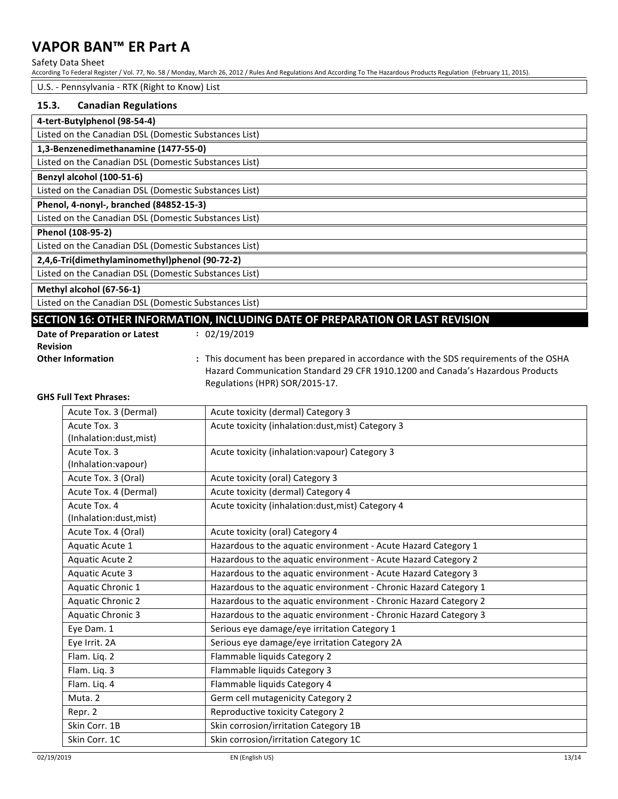#### Safety Data Sheet

According To Federal Register / Vol. 77, No. 58 / Monday, March 26, 2012 / Rules And Regulations And According To The Hazardous Products Regulation (February 11, 2015).

#### U.S. - Pennsylvania - RTK (Right to Know) List

### **15.3.** Canadian Regulations

| 4-tert-Butylphenol (98-54-4)                          |  |  |  |  |
|-------------------------------------------------------|--|--|--|--|
| Listed on the Canadian DSL (Domestic Substances List) |  |  |  |  |
| 1,3-Benzenedimethanamine (1477-55-0)                  |  |  |  |  |
| Listed on the Canadian DSL (Domestic Substances List) |  |  |  |  |
| Benzyl alcohol (100-51-6)                             |  |  |  |  |
| Listed on the Canadian DSL (Domestic Substances List) |  |  |  |  |
| Phenol, 4-nonyl-, branched (84852-15-3)               |  |  |  |  |
| Listed on the Canadian DSL (Domestic Substances List) |  |  |  |  |
| Phenol (108-95-2)                                     |  |  |  |  |
| Listed on the Canadian DSL (Domestic Substances List) |  |  |  |  |
| 2,4,6-Tri(dimethylaminomethyl)phenol (90-72-2)        |  |  |  |  |
| Listed on the Canadian DSL (Domestic Substances List) |  |  |  |  |
| Methyl alcohol (67-56-1)                              |  |  |  |  |
| Listed on the Canadian DSL (Domestic Substances List) |  |  |  |  |

### **SECTION 16: OTHER INFORMATION, INCLUDING DATE OF PREPARATION OR LAST REVISION**

**:** 02/19/2019

**Date of Preparation or Latest Revision**

**Other Information :** This document has been prepared in accordance with the SDS requirements of the OSHA Hazard Communication Standard 29 CFR 1910.1200 and Canada's Hazardous Products Regulations (HPR) SOR/2015-17.

#### **GHS Full Text Phrases:**

| Acute Tox. 3 (Dermal)    | Acute toxicity (dermal) Category 3                               |
|--------------------------|------------------------------------------------------------------|
| Acute Tox. 3             | Acute toxicity (inhalation:dust, mist) Category 3                |
| (Inhalation:dust, mist)  |                                                                  |
| Acute Tox. 3             | Acute toxicity (inhalation: vapour) Category 3                   |
| (Inhalation:vapour)      |                                                                  |
| Acute Tox. 3 (Oral)      | Acute toxicity (oral) Category 3                                 |
| Acute Tox. 4 (Dermal)    | Acute toxicity (dermal) Category 4                               |
| Acute Tox. 4             | Acute toxicity (inhalation:dust, mist) Category 4                |
| (Inhalation:dust, mist)  |                                                                  |
| Acute Tox. 4 (Oral)      | Acute toxicity (oral) Category 4                                 |
| Aquatic Acute 1          | Hazardous to the aquatic environment - Acute Hazard Category 1   |
| Aquatic Acute 2          | Hazardous to the aquatic environment - Acute Hazard Category 2   |
| Aquatic Acute 3          | Hazardous to the aquatic environment - Acute Hazard Category 3   |
| Aquatic Chronic 1        | Hazardous to the aquatic environment - Chronic Hazard Category 1 |
| <b>Aquatic Chronic 2</b> | Hazardous to the aquatic environment - Chronic Hazard Category 2 |
| <b>Aquatic Chronic 3</b> | Hazardous to the aquatic environment - Chronic Hazard Category 3 |
| Eye Dam. 1               | Serious eye damage/eye irritation Category 1                     |
| Eye Irrit. 2A            | Serious eye damage/eye irritation Category 2A                    |
| Flam. Liq. 2             | Flammable liquids Category 2                                     |
| Flam. Liq. 3             | Flammable liquids Category 3                                     |
| Flam. Liq. 4             | Flammable liquids Category 4                                     |
| Muta. 2                  | Germ cell mutagenicity Category 2                                |
| Repr. 2                  | Reproductive toxicity Category 2                                 |
| Skin Corr. 1B            | Skin corrosion/irritation Category 1B                            |
| Skin Corr. 1C            | Skin corrosion/irritation Category 1C                            |
|                          |                                                                  |